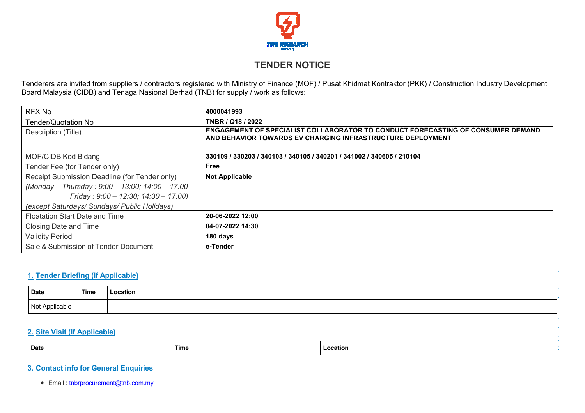

# **TENDER NOTICE**

Tenderers are invited from suppliers / contractors registered with Ministry of Finance (MOF) / Pusat Khidmat Kontraktor (PKK) / Construction Industry Development Board Malaysia (CIDB) and Tenaga Nasional Berhad (TNB) for supply / work as follows:

| RFX No                                          | 4000041993                                                                                                                                    |
|-------------------------------------------------|-----------------------------------------------------------------------------------------------------------------------------------------------|
| Tender/Quotation No                             | TNBR / Q18 / 2022                                                                                                                             |
| Description (Title)                             | ENGAGEMENT OF SPECIALIST COLLABORATOR TO CONDUCT FORECASTING OF CONSUMER DEMAND<br>AND BEHAVIOR TOWARDS EV CHARGING INFRASTRUCTURE DEPLOYMENT |
| MOF/CIDB Kod Bidang                             | 330109 / 330203 / 340103 / 340105 / 340201 / 341002 / 340605 / 210104                                                                         |
| Tender Fee (for Tender only)                    | Free                                                                                                                                          |
| Receipt Submission Deadline (for Tender only)   | <b>Not Applicable</b>                                                                                                                         |
| (Monday - Thursday: 9:00 - 13:00; 14:00 - 17:00 |                                                                                                                                               |
| Friday: $9.00 - 12.30$ ; $14.30 - 17.00$ )      |                                                                                                                                               |
| (except Saturdays/ Sundays/ Public Holidays)    |                                                                                                                                               |
| <b>Floatation Start Date and Time</b>           | 20-06-2022 12:00                                                                                                                              |
| Closing Date and Time                           | 04-07-2022 14:30                                                                                                                              |
| <b>Validity Period</b>                          | 180 days                                                                                                                                      |
| Sale & Submission of Tender Document            | e-Tender                                                                                                                                      |

## **1. Tender Briefing (If Applicable)**

| <b>Date</b>    | <b>Time</b> | Location |
|----------------|-------------|----------|
| Not Applicable |             |          |

### **2. Site Visit (If Applicable)**

| <b>Date</b><br>Time<br>Location |  |
|---------------------------------|--|
|---------------------------------|--|

# **3. Contact info for General Enquiries**

● Email : [tnbrprocurement@tnb.com.my](mailto:tnbrprocurement@tnb.com.my)